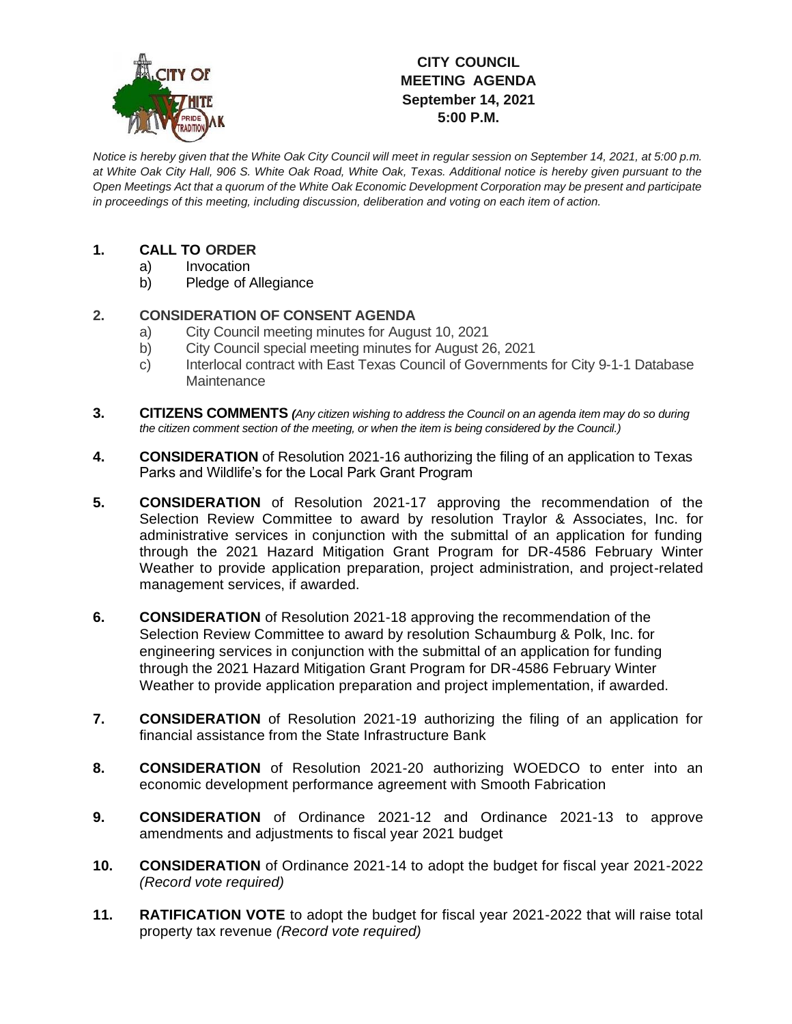

# **CITY COUNCIL MEETING AGENDA September 14, 2021 5:00 P.M.**

*Notice is hereby given that the White Oak City Council will meet in regular session on September 14, 2021, at 5:00 p.m. at White Oak City Hall, 906 S. White Oak Road, White Oak, Texas. Additional notice is hereby given pursuant to the Open Meetings Act that a quorum of the White Oak Economic Development Corporation may be present and participate in proceedings of this meeting, including discussion, deliberation and voting on each item of action.*

## **1. CALL TO ORDER**

- a) Invocation
- b) Pledge of Allegiance

### **2. CONSIDERATION OF CONSENT AGENDA**

- a) City Council meeting minutes for August 10, 2021
- b) City Council special meeting minutes for August 26, 2021
- c) Interlocal contract with East Texas Council of Governments for City 9-1-1 Database **Maintenance**
- **3. CITIZENS COMMENTS** *(Any citizen wishing to address the Council on an agenda item may do so during the citizen comment section of the meeting, or when the item is being considered by the Council.)*
- **4. CONSIDERATION** of Resolution 2021-16 authorizing the filing of an application to Texas Parks and Wildlife's for the Local Park Grant Program
- **5. CONSIDERATION** of Resolution 2021-17 approving the recommendation of the Selection Review Committee to award by resolution Traylor & Associates, Inc. for administrative services in conjunction with the submittal of an application for funding through the 2021 Hazard Mitigation Grant Program for DR-4586 February Winter Weather to provide application preparation, project administration, and project-related management services, if awarded.
- **6. CONSIDERATION** of Resolution 2021-18 approving the recommendation of the Selection Review Committee to award by resolution Schaumburg & Polk, Inc. for engineering services in conjunction with the submittal of an application for funding through the 2021 Hazard Mitigation Grant Program for DR-4586 February Winter Weather to provide application preparation and project implementation, if awarded.
- **7. CONSIDERATION** of Resolution 2021-19 authorizing the filing of an application for financial assistance from the State Infrastructure Bank
- **8. CONSIDERATION** of Resolution 2021-20 authorizing WOEDCO to enter into an economic development performance agreement with Smooth Fabrication
- **9. CONSIDERATION** of Ordinance 2021-12 and Ordinance 2021-13 to approve amendments and adjustments to fiscal year 2021 budget
- **10. CONSIDERATION** of Ordinance 2021-14 to adopt the budget for fiscal year 2021-2022 *(Record vote required)*
- **11. RATIFICATION VOTE** to adopt the budget for fiscal year 2021-2022 that will raise total property tax revenue *(Record vote required)*